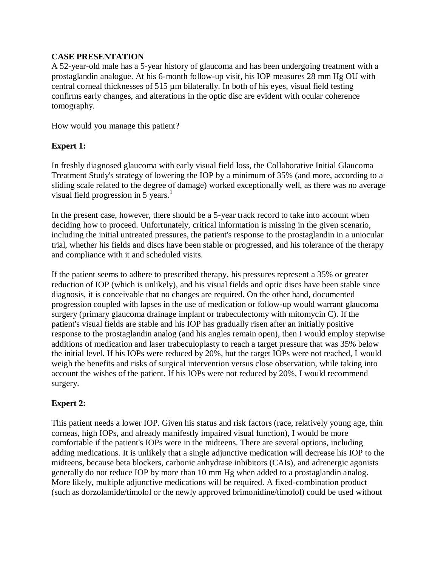# **CASE PRESENTATION**

A 52-year-old male has a 5-year history of glaucoma and has been undergoing treatment with a prostaglandin analogue. At his 6-month follow-up visit, his IOP measures 28 mm Hg OU with central corneal thicknesses of 515 µm bilaterally. In both of his eyes, visual field testing confirms early changes, and alterations in the optic disc are evident with ocular coherence tomography.

How would you manage this patient?

# **Expert 1:**

In freshly diagnosed glaucoma with early visual field loss, the Collaborative Initial Glaucoma Treatment Study's strategy of lowering the IOP by a minimum of 35% (and more, according to a sliding scale related to the degree of damage) worked exceptionally well, as there was no average visual field progression in 5 years. $<sup>1</sup>$ </sup>

In the present case, however, there should be a 5-year track record to take into account when deciding how to proceed. Unfortunately, critical information is missing in the given scenario, including the initial untreated pressures, the patient's response to the prostaglandin in a uniocular trial, whether his fields and discs have been stable or progressed, and his tolerance of the therapy and compliance with it and scheduled visits.

If the patient seems to adhere to prescribed therapy, his pressures represent a 35% or greater reduction of IOP (which is unlikely), and his visual fields and optic discs have been stable since diagnosis, it is conceivable that no changes are required. On the other hand, documented progression coupled with lapses in the use of medication or follow-up would warrant glaucoma surgery (primary glaucoma drainage implant or trabeculectomy with mitomycin C). If the patient's visual fields are stable and his IOP has gradually risen after an initially positive response to the prostaglandin analog (and his angles remain open), then I would employ stepwise additions of medication and laser trabeculoplasty to reach a target pressure that was 35% below the initial level. If his IOPs were reduced by 20%, but the target IOPs were not reached, I would weigh the benefits and risks of surgical intervention versus close observation, while taking into account the wishes of the patient. If his IOPs were not reduced by 20%, I would recommend surgery.

# **Expert 2:**

This patient needs a lower IOP. Given his status and risk factors (race, relatively young age, thin corneas, high IOPs, and already manifestly impaired visual function), I would be more comfortable if the patient's IOPs were in the midteens. There are several options, including adding medications. It is unlikely that a single adjunctive medication will decrease his IOP to the midteens, because beta blockers, carbonic anhydrase inhibitors (CAIs), and adrenergic agonists generally do not reduce IOP by more than 10 mm Hg when added to a prostaglandin analog. More likely, multiple adjunctive medications will be required. A fixed-combination product (such as dorzolamide/timolol or the newly approved brimonidine/timolol) could be used without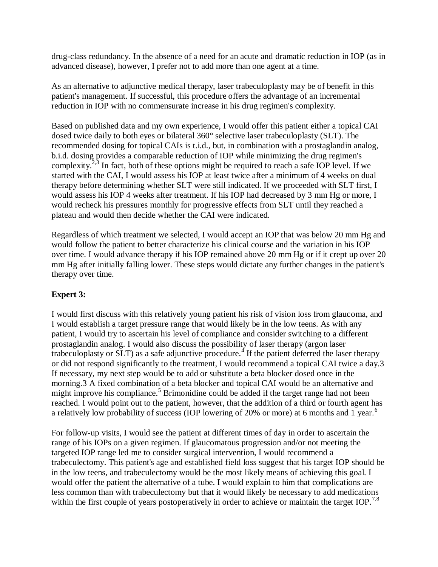drug-class redundancy. In the absence of a need for an acute and dramatic reduction in IOP (as in advanced disease), however, I prefer not to add more than one agent at a time.

As an alternative to adjunctive medical therapy, laser trabeculoplasty may be of benefit in this patient's management. If successful, this procedure offers the advantage of an incremental reduction in IOP with no commensurate increase in his drug regimen's complexity.

Based on published data and my own experience, I would offer this patient either a topical CAI dosed twice daily to both eyes or bilateral 360° selective laser trabeculoplasty (SLT). The recommended dosing for topical CAIs is t.i.d., but, in combination with a prostaglandin analog, b.i.d. dosing provides a comparable reduction of IOP while minimizing the drug regimen's complexity.<sup>2,3</sup> In fact, both of these options might be required to reach a safe IOP level. If we started with the CAI, I would assess his IOP at least twice after a minimum of 4 weeks on dual therapy before determining whether SLT were still indicated. If we proceeded with SLT first, I would assess his IOP 4 weeks after treatment. If his IOP had decreased by 3 mm Hg or more, I would recheck his pressures monthly for progressive effects from SLT until they reached a plateau and would then decide whether the CAI were indicated.

Regardless of which treatment we selected, I would accept an IOP that was below 20 mm Hg and would follow the patient to better characterize his clinical course and the variation in his IOP over time. I would advance therapy if his IOP remained above 20 mm Hg or if it crept up over 20 mm Hg after initially falling lower. These steps would dictate any further changes in the patient's therapy over time.

# **Expert 3:**

I would first discuss with this relatively young patient his risk of vision loss from glaucoma, and I would establish a target pressure range that would likely be in the low teens. As with any patient, I would try to ascertain his level of compliance and consider switching to a different prostaglandin analog. I would also discuss the possibility of laser therapy (argon laser trabeculoplasty or SLT) as a safe adjunctive procedure.<sup>4</sup> If the patient deferred the laser therapy or did not respond significantly to the treatment, I would recommend a topical CAI twice a day.3 If necessary, my next step would be to add or substitute a beta blocker dosed once in the morning.3 A fixed combination of a beta blocker and topical CAI would be an alternative and might improve his compliance.<sup>5</sup> Brimonidine could be added if the target range had not been reached. I would point out to the patient, however, that the addition of a third or fourth agent has a relatively low probability of success (IOP lowering of 20% or more) at 6 months and 1 year.<sup>6</sup>

For follow-up visits, I would see the patient at different times of day in order to ascertain the range of his IOPs on a given regimen. If glaucomatous progression and/or not meeting the targeted IOP range led me to consider surgical intervention, I would recommend a trabeculectomy. This patient's age and established field loss suggest that his target IOP should be in the low teens, and trabeculectomy would be the most likely means of achieving this goal. I would offer the patient the alternative of a tube. I would explain to him that complications are less common than with trabeculectomy but that it would likely be necessary to add medications within the first couple of years postoperatively in order to achieve or maintain the target IOP.<sup>7,8</sup>